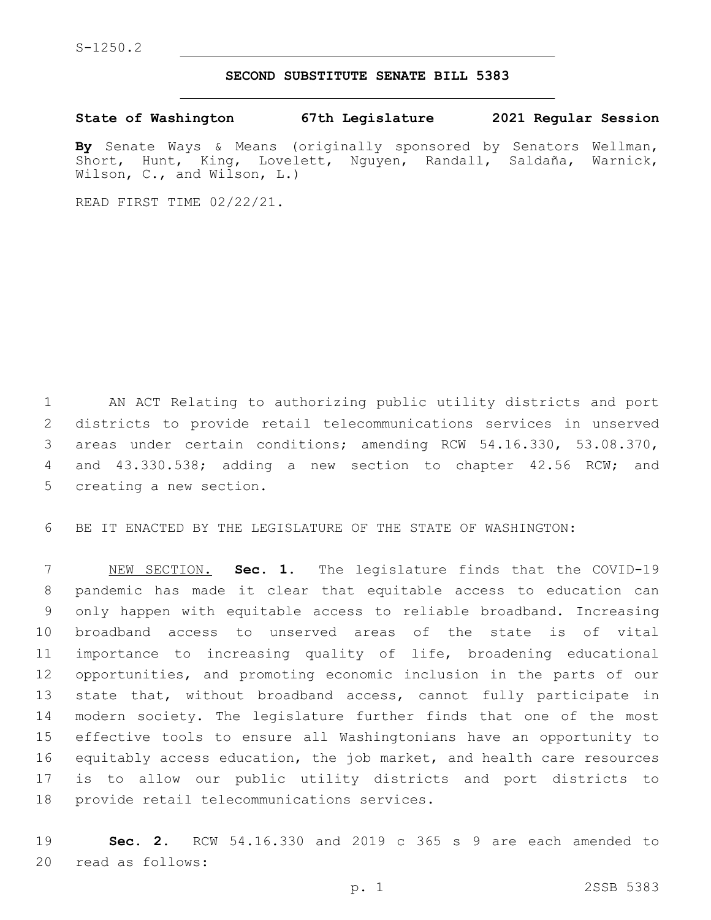## **SECOND SUBSTITUTE SENATE BILL 5383**

**State of Washington 67th Legislature 2021 Regular Session**

**By** Senate Ways & Means (originally sponsored by Senators Wellman, Short, Hunt, King, Lovelett, Nguyen, Randall, Saldaña, Warnick, Wilson, C., and Wilson, L.)

READ FIRST TIME 02/22/21.

 AN ACT Relating to authorizing public utility districts and port districts to provide retail telecommunications services in unserved areas under certain conditions; amending RCW 54.16.330, 53.08.370, and 43.330.538; adding a new section to chapter 42.56 RCW; and 5 creating a new section.

BE IT ENACTED BY THE LEGISLATURE OF THE STATE OF WASHINGTON:

 NEW SECTION. **Sec. 1.** The legislature finds that the COVID-19 pandemic has made it clear that equitable access to education can only happen with equitable access to reliable broadband. Increasing broadband access to unserved areas of the state is of vital importance to increasing quality of life, broadening educational opportunities, and promoting economic inclusion in the parts of our state that, without broadband access, cannot fully participate in modern society. The legislature further finds that one of the most effective tools to ensure all Washingtonians have an opportunity to equitably access education, the job market, and health care resources is to allow our public utility districts and port districts to provide retail telecommunications services.

 **Sec. 2.** RCW 54.16.330 and 2019 c 365 s 9 are each amended to 20 read as follows: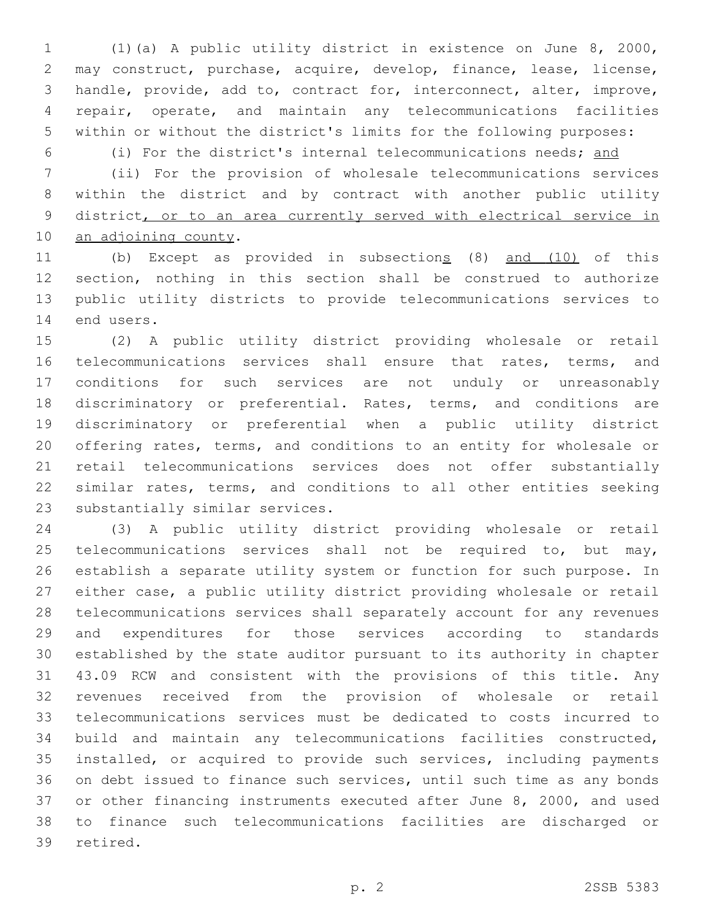(1)(a) A public utility district in existence on June 8, 2000, may construct, purchase, acquire, develop, finance, lease, license, handle, provide, add to, contract for, interconnect, alter, improve, repair, operate, and maintain any telecommunications facilities within or without the district's limits for the following purposes:

(i) For the district's internal telecommunications needs; and

 (ii) For the provision of wholesale telecommunications services within the district and by contract with another public utility district, or to an area currently served with electrical service in 10 an adjoining county.

11 (b) Except as provided in subsections (8) and (10) of this section, nothing in this section shall be construed to authorize public utility districts to provide telecommunications services to 14 end users.

 (2) A public utility district providing wholesale or retail 16 telecommunications services shall ensure that rates, terms, and conditions for such services are not unduly or unreasonably discriminatory or preferential. Rates, terms, and conditions are discriminatory or preferential when a public utility district offering rates, terms, and conditions to an entity for wholesale or retail telecommunications services does not offer substantially similar rates, terms, and conditions to all other entities seeking 23 substantially similar services.

 (3) A public utility district providing wholesale or retail 25 telecommunications services shall not be required to, but may, establish a separate utility system or function for such purpose. In either case, a public utility district providing wholesale or retail telecommunications services shall separately account for any revenues and expenditures for those services according to standards established by the state auditor pursuant to its authority in chapter 43.09 RCW and consistent with the provisions of this title. Any revenues received from the provision of wholesale or retail telecommunications services must be dedicated to costs incurred to build and maintain any telecommunications facilities constructed, installed, or acquired to provide such services, including payments on debt issued to finance such services, until such time as any bonds or other financing instruments executed after June 8, 2000, and used to finance such telecommunications facilities are discharged or 39 retired.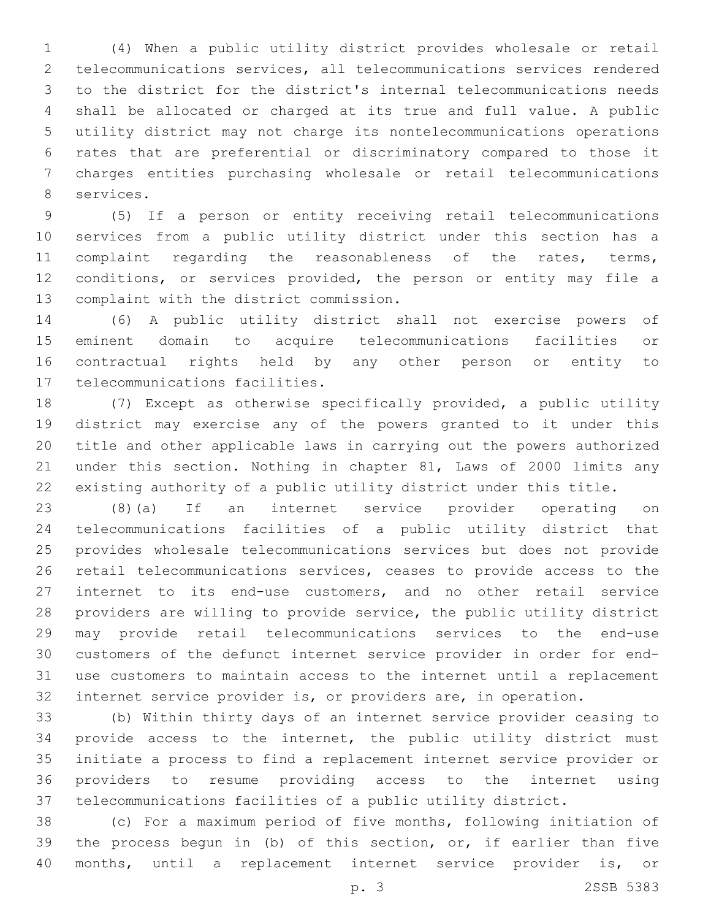(4) When a public utility district provides wholesale or retail telecommunications services, all telecommunications services rendered to the district for the district's internal telecommunications needs shall be allocated or charged at its true and full value. A public utility district may not charge its nontelecommunications operations rates that are preferential or discriminatory compared to those it charges entities purchasing wholesale or retail telecommunications 8 services.

 (5) If a person or entity receiving retail telecommunications services from a public utility district under this section has a complaint regarding the reasonableness of the rates, terms, conditions, or services provided, the person or entity may file a 13 complaint with the district commission.

 (6) A public utility district shall not exercise powers of eminent domain to acquire telecommunications facilities or contractual rights held by any other person or entity to 17 telecommunications facilities.

 (7) Except as otherwise specifically provided, a public utility district may exercise any of the powers granted to it under this title and other applicable laws in carrying out the powers authorized under this section. Nothing in chapter 81, Laws of 2000 limits any existing authority of a public utility district under this title.

 (8)(a) If an internet service provider operating on telecommunications facilities of a public utility district that provides wholesale telecommunications services but does not provide retail telecommunications services, ceases to provide access to the internet to its end-use customers, and no other retail service providers are willing to provide service, the public utility district may provide retail telecommunications services to the end-use customers of the defunct internet service provider in order for end- use customers to maintain access to the internet until a replacement internet service provider is, or providers are, in operation.

 (b) Within thirty days of an internet service provider ceasing to provide access to the internet, the public utility district must initiate a process to find a replacement internet service provider or providers to resume providing access to the internet using telecommunications facilities of a public utility district.

 (c) For a maximum period of five months, following initiation of the process begun in (b) of this section, or, if earlier than five months, until a replacement internet service provider is, or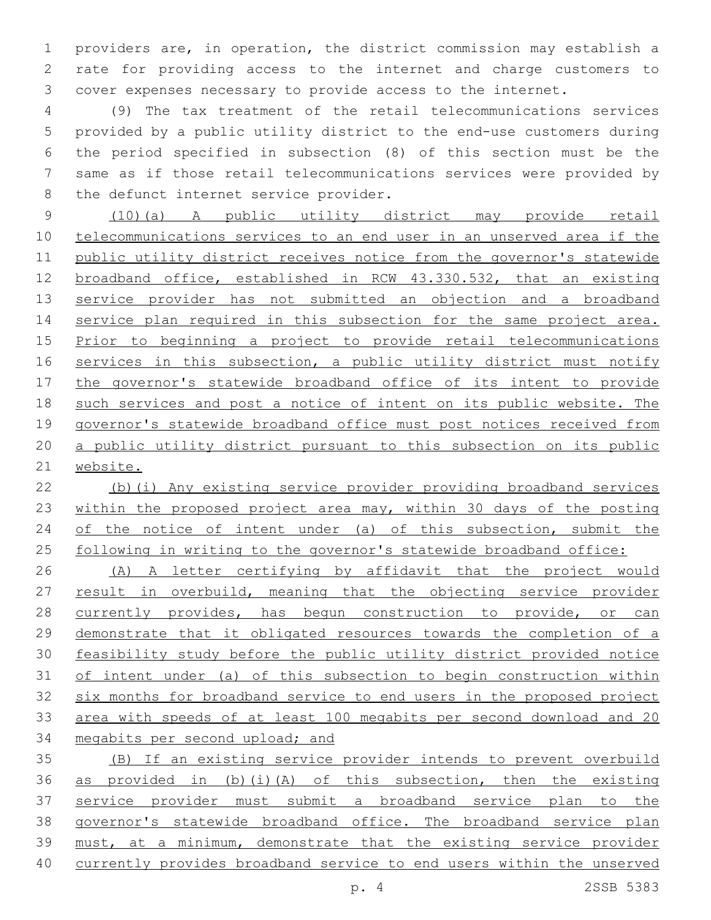providers are, in operation, the district commission may establish a rate for providing access to the internet and charge customers to cover expenses necessary to provide access to the internet.

 (9) The tax treatment of the retail telecommunications services provided by a public utility district to the end-use customers during the period specified in subsection (8) of this section must be the same as if those retail telecommunications services were provided by 8 the defunct internet service provider.

 (10)(a) A public utility district may provide retail telecommunications services to an end user in an unserved area if the public utility district receives notice from the governor's statewide broadband office, established in RCW 43.330.532, that an existing service provider has not submitted an objection and a broadband 14 service plan required in this subsection for the same project area. Prior to beginning a project to provide retail telecommunications 16 services in this subsection, a public utility district must notify 17 the governor's statewide broadband office of its intent to provide such services and post a notice of intent on its public website. The governor's statewide broadband office must post notices received from a public utility district pursuant to this subsection on its public website.

 (b)(i) Any existing service provider providing broadband services within the proposed project area may, within 30 days of the posting 24 of the notice of intent under (a) of this subsection, submit the 25 following in writing to the governor's statewide broadband office:

 (A) A letter certifying by affidavit that the project would result in overbuild, meaning that the objecting service provider 28 currently provides, has begun construction to provide, or can demonstrate that it obligated resources towards the completion of a feasibility study before the public utility district provided notice of intent under (a) of this subsection to begin construction within six months for broadband service to end users in the proposed project area with speeds of at least 100 megabits per second download and 20 megabits per second upload; and

 (B) If an existing service provider intends to prevent overbuild as provided in (b)(i)(A) of this subsection, then the existing service provider must submit a broadband service plan to the governor's statewide broadband office. The broadband service plan must, at a minimum, demonstrate that the existing service provider currently provides broadband service to end users within the unserved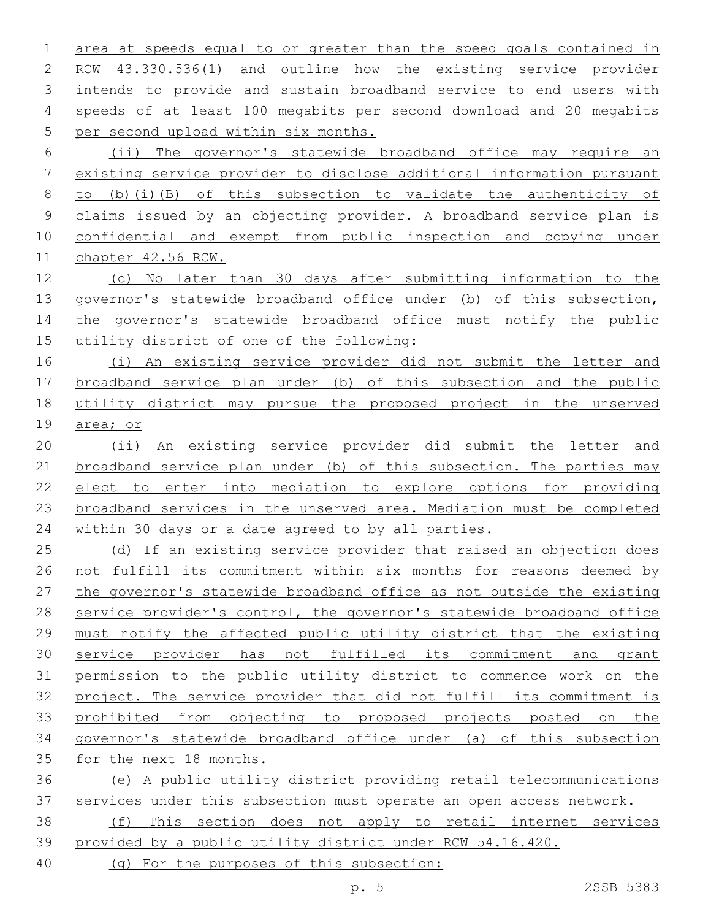area at speeds equal to or greater than the speed goals contained in RCW 43.330.536(1) and outline how the existing service provider 3 intends to provide and sustain broadband service to end users with speeds of at least 100 megabits per second download and 20 megabits 5 per second upload within six months. (ii) The governor's statewide broadband office may require an

 existing service provider to disclose additional information pursuant to (b)(i)(B) of this subsection to validate the authenticity of claims issued by an objecting provider. A broadband service plan is confidential and exempt from public inspection and copying under chapter 42.56 RCW.

 (c) No later than 30 days after submitting information to the 13 governor's statewide broadband office under (b) of this subsection, 14 the governor's statewide broadband office must notify the public utility district of one of the following:

 (i) An existing service provider did not submit the letter and broadband service plan under (b) of this subsection and the public utility district may pursue the proposed project in the unserved area; or

 (ii) An existing service provider did submit the letter and 21 broadband service plan under (b) of this subsection. The parties may elect to enter into mediation to explore options for providing broadband services in the unserved area. Mediation must be completed within 30 days or a date agreed to by all parties.

25 (d) If an existing service provider that raised an objection does not fulfill its commitment within six months for reasons deemed by the governor's statewide broadband office as not outside the existing service provider's control, the governor's statewide broadband office must notify the affected public utility district that the existing service provider has not fulfilled its commitment and grant permission to the public utility district to commence work on the project. The service provider that did not fulfill its commitment is prohibited from objecting to proposed projects posted on the governor's statewide broadband office under (a) of this subsection for the next 18 months.

 (e) A public utility district providing retail telecommunications services under this subsection must operate an open access network.

 (f) This section does not apply to retail internet services provided by a public utility district under RCW 54.16.420.

(g) For the purposes of this subsection: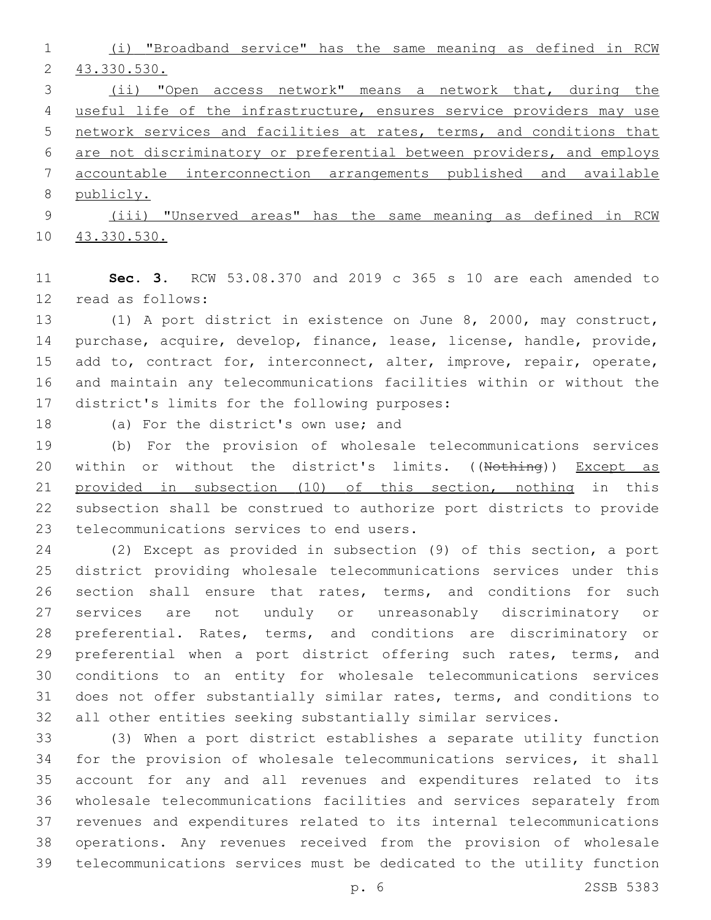(i) "Broadband service" has the same meaning as defined in RCW 43.330.530.

 (ii) "Open access network" means a network that, during the useful life of the infrastructure, ensures service providers may use network services and facilities at rates, terms, and conditions that are not discriminatory or preferential between providers, and employs accountable interconnection arrangements published and available publicly.

 (iii) "Unserved areas" has the same meaning as defined in RCW 43.330.530.

 **Sec. 3.** RCW 53.08.370 and 2019 c 365 s 10 are each amended to 12 read as follows:

 (1) A port district in existence on June 8, 2000, may construct, purchase, acquire, develop, finance, lease, license, handle, provide, 15 add to, contract for, interconnect, alter, improve, repair, operate, and maintain any telecommunications facilities within or without the 17 district's limits for the following purposes:

18 (a) For the district's own use; and

 (b) For the provision of wholesale telecommunications services 20 within or without the district's limits. ((Nothing)) Except as provided in subsection (10) of this section, nothing in this subsection shall be construed to authorize port districts to provide 23 telecommunications services to end users.

 (2) Except as provided in subsection (9) of this section, a port district providing wholesale telecommunications services under this section shall ensure that rates, terms, and conditions for such services are not unduly or unreasonably discriminatory or preferential. Rates, terms, and conditions are discriminatory or 29 preferential when a port district offering such rates, terms, and conditions to an entity for wholesale telecommunications services does not offer substantially similar rates, terms, and conditions to all other entities seeking substantially similar services.

 (3) When a port district establishes a separate utility function for the provision of wholesale telecommunications services, it shall account for any and all revenues and expenditures related to its wholesale telecommunications facilities and services separately from revenues and expenditures related to its internal telecommunications operations. Any revenues received from the provision of wholesale telecommunications services must be dedicated to the utility function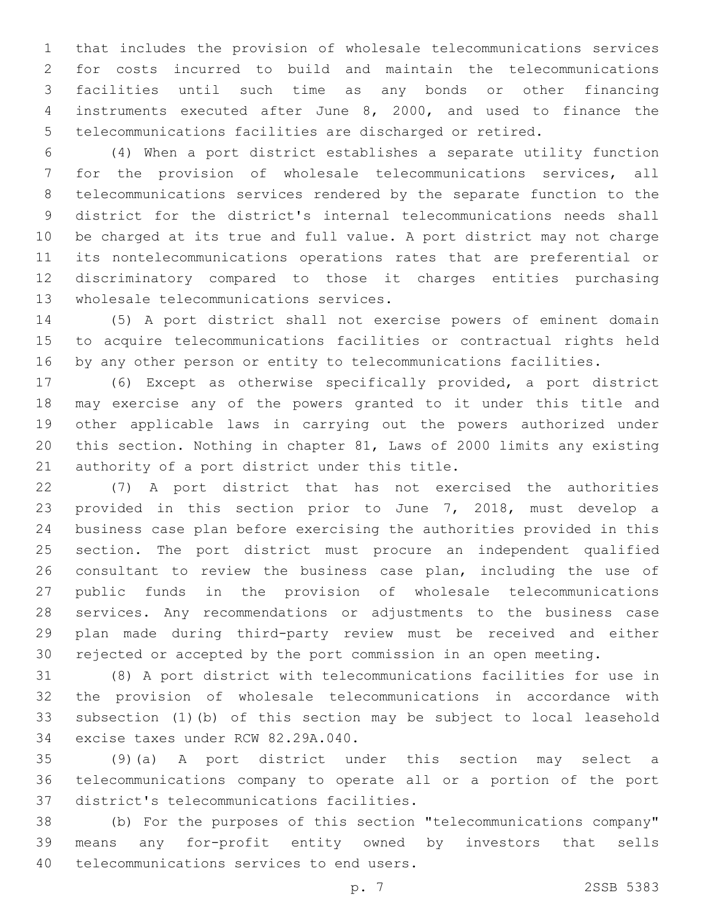that includes the provision of wholesale telecommunications services for costs incurred to build and maintain the telecommunications facilities until such time as any bonds or other financing instruments executed after June 8, 2000, and used to finance the telecommunications facilities are discharged or retired.

 (4) When a port district establishes a separate utility function for the provision of wholesale telecommunications services, all telecommunications services rendered by the separate function to the district for the district's internal telecommunications needs shall be charged at its true and full value. A port district may not charge its nontelecommunications operations rates that are preferential or discriminatory compared to those it charges entities purchasing 13 wholesale telecommunications services.

 (5) A port district shall not exercise powers of eminent domain to acquire telecommunications facilities or contractual rights held by any other person or entity to telecommunications facilities.

 (6) Except as otherwise specifically provided, a port district may exercise any of the powers granted to it under this title and other applicable laws in carrying out the powers authorized under this section. Nothing in chapter 81, Laws of 2000 limits any existing 21 authority of a port district under this title.

 (7) A port district that has not exercised the authorities provided in this section prior to June 7, 2018, must develop a business case plan before exercising the authorities provided in this section. The port district must procure an independent qualified consultant to review the business case plan, including the use of public funds in the provision of wholesale telecommunications services. Any recommendations or adjustments to the business case plan made during third-party review must be received and either rejected or accepted by the port commission in an open meeting.

 (8) A port district with telecommunications facilities for use in the provision of wholesale telecommunications in accordance with subsection (1)(b) of this section may be subject to local leasehold 34 excise taxes under RCW 82.29A.040.

 (9)(a) A port district under this section may select a telecommunications company to operate all or a portion of the port 37 district's telecommunications facilities.

 (b) For the purposes of this section "telecommunications company" means any for-profit entity owned by investors that sells 40 telecommunications services to end users.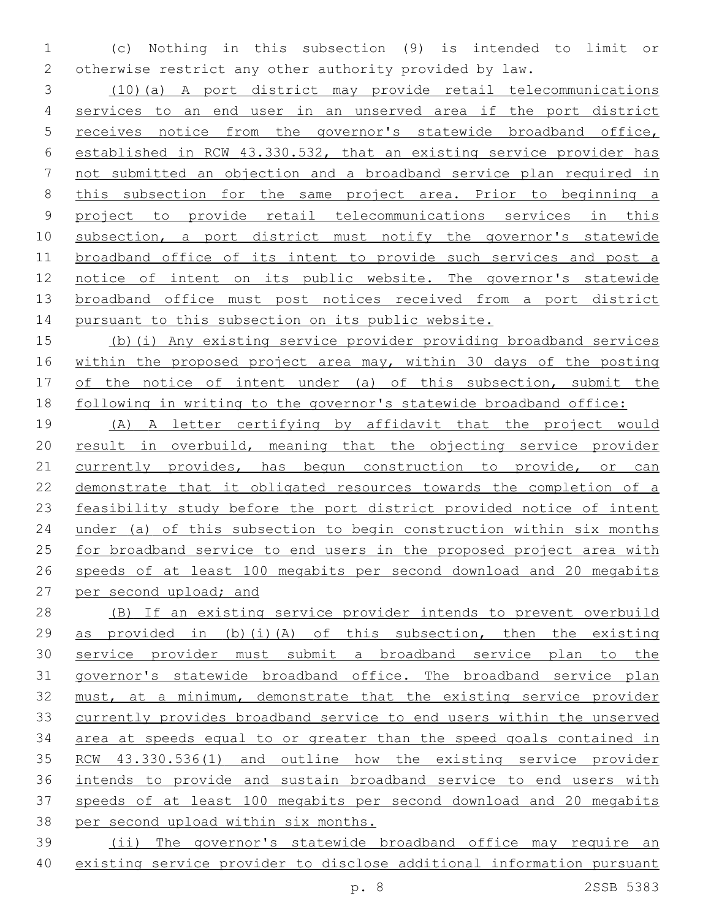(c) Nothing in this subsection (9) is intended to limit or otherwise restrict any other authority provided by law.

 (10)(a) A port district may provide retail telecommunications services to an end user in an unserved area if the port district receives notice from the governor's statewide broadband office, established in RCW 43.330.532, that an existing service provider has not submitted an objection and a broadband service plan required in 8 this subsection for the same project area. Prior to beginning a project to provide retail telecommunications services in this subsection, a port district must notify the governor's statewide broadband office of its intent to provide such services and post a notice of intent on its public website. The governor's statewide broadband office must post notices received from a port district pursuant to this subsection on its public website.

 (b)(i) Any existing service provider providing broadband services within the proposed project area may, within 30 days of the posting of the notice of intent under (a) of this subsection, submit the following in writing to the governor's statewide broadband office:

 (A) A letter certifying by affidavit that the project would 20 result in overbuild, meaning that the objecting service provider 21 currently provides, has begun construction to provide, or can demonstrate that it obligated resources towards the completion of a feasibility study before the port district provided notice of intent under (a) of this subsection to begin construction within six months for broadband service to end users in the proposed project area with speeds of at least 100 megabits per second download and 20 megabits per second upload; and

 (B) If an existing service provider intends to prevent overbuild as provided in (b)(i)(A) of this subsection, then the existing service provider must submit a broadband service plan to the governor's statewide broadband office. The broadband service plan must, at a minimum, demonstrate that the existing service provider currently provides broadband service to end users within the unserved area at speeds equal to or greater than the speed goals contained in RCW 43.330.536(1) and outline how the existing service provider intends to provide and sustain broadband service to end users with speeds of at least 100 megabits per second download and 20 megabits per second upload within six months.

 (ii) The governor's statewide broadband office may require an existing service provider to disclose additional information pursuant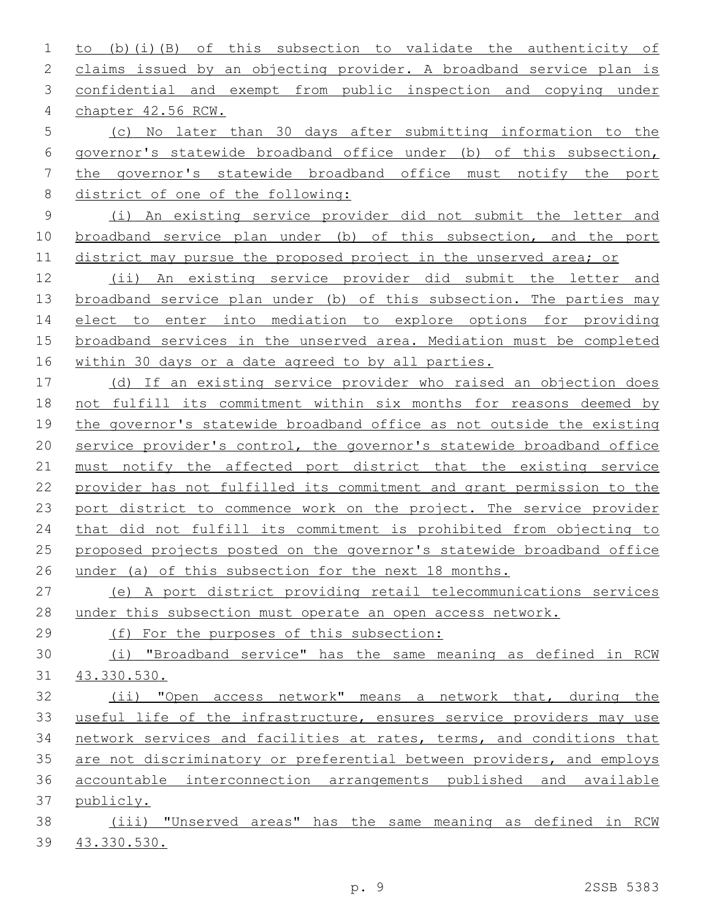to (b)(i)(B) of this subsection to validate the authenticity of 2 claims issued by an objecting provider. A broadband service plan is confidential and exempt from public inspection and copying under chapter 42.56 RCW.4

 (c) No later than 30 days after submitting information to the governor's statewide broadband office under (b) of this subsection, the governor's statewide broadband office must notify the port district of one of the following:

 (i) An existing service provider did not submit the letter and 10 broadband service plan under (b) of this subsection, and the port 11 district may pursue the proposed project in the unserved area; or

 (ii) An existing service provider did submit the letter and 13 broadband service plan under (b) of this subsection. The parties may elect to enter into mediation to explore options for providing broadband services in the unserved area. Mediation must be completed within 30 days or a date agreed to by all parties.

 (d) If an existing service provider who raised an objection does not fulfill its commitment within six months for reasons deemed by the governor's statewide broadband office as not outside the existing service provider's control, the governor's statewide broadband office must notify the affected port district that the existing service provider has not fulfilled its commitment and grant permission to the port district to commence work on the project. The service provider that did not fulfill its commitment is prohibited from objecting to proposed projects posted on the governor's statewide broadband office under (a) of this subsection for the next 18 months.

 (e) A port district providing retail telecommunications services under this subsection must operate an open access network.

(f) For the purposes of this subsection:

 (i) "Broadband service" has the same meaning as defined in RCW 43.330.530.

 (ii) "Open access network" means a network that, during the useful life of the infrastructure, ensures service providers may use network services and facilities at rates, terms, and conditions that are not discriminatory or preferential between providers, and employs accountable interconnection arrangements published and available publicly.

 (iii) "Unserved areas" has the same meaning as defined in RCW 43.330.530.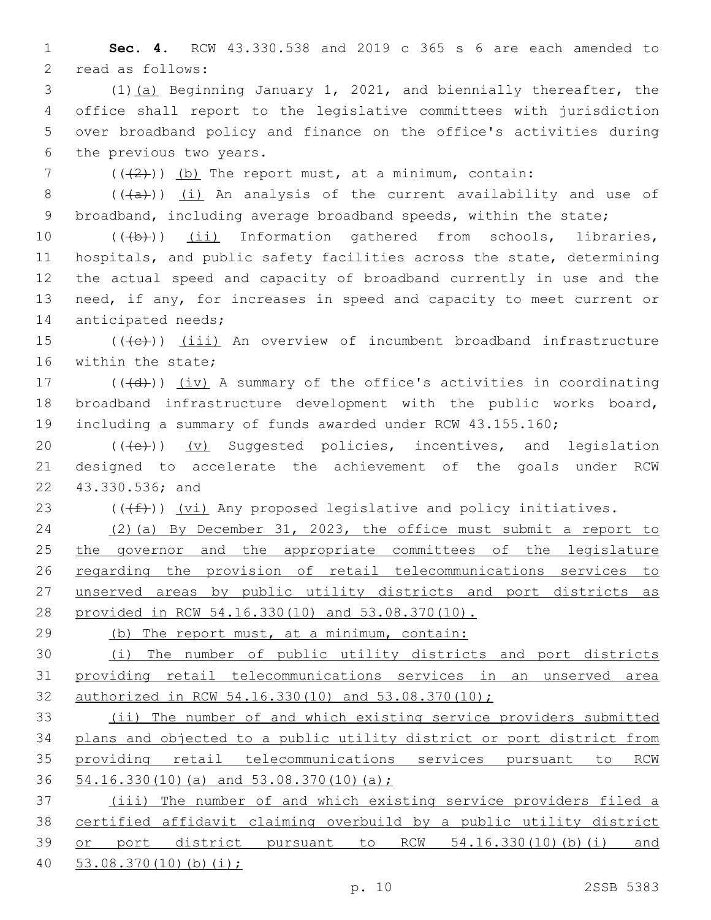**Sec. 4.** RCW 43.330.538 and 2019 c 365 s 6 are each amended to 2 read as follows:

 (1)(a) Beginning January 1, 2021, and biennially thereafter, the office shall report to the legislative committees with jurisdiction over broadband policy and finance on the office's activities during 6 the previous two years.

7  $((2+))$  (b) The report must, at a minimum, contain:

8  $((+a))$   $(i)$  An analysis of the current availability and use of broadband, including average broadband speeds, within the state;

10 (((b))) (ii) Information gathered from schools, libraries, hospitals, and public safety facilities across the state, determining the actual speed and capacity of broadband currently in use and the need, if any, for increases in speed and capacity to meet current or 14 anticipated needs;

 (( $\left(\frac{1}{1}, \frac{1}{1}\right)$  (iii) An overview of incumbent broadband infrastructure 16 within the state;

17 (((d))) (iv) A summary of the office's activities in coordinating broadband infrastructure development with the public works board, including a summary of funds awarded under RCW 43.155.160;

20 (((e)) (v) Suggested policies, incentives, and legislation designed to accelerate the achievement of the goals under RCW 22 43.330.536; and

23  $((\text{#}))$   $(vi)$  Any proposed legislative and policy initiatives.

 (2)(a) By December 31, 2023, the office must submit a report to 25 the governor and the appropriate committees of the legislature regarding the provision of retail telecommunications services to unserved areas by public utility districts and port districts as provided in RCW 54.16.330(10) and 53.08.370(10).

(b) The report must, at a minimum, contain:

 (i) The number of public utility districts and port districts providing retail telecommunications services in an unserved area authorized in RCW 54.16.330(10) and 53.08.370(10);

 (ii) The number of and which existing service providers submitted plans and objected to a public utility district or port district from providing retail telecommunications services pursuant to RCW 54.16.330(10)(a) and 53.08.370(10)(a);

 (iii) The number of and which existing service providers filed a certified affidavit claiming overbuild by a public utility district or port district pursuant to RCW 54.16.330(10)(b)(i) and 53.08.370(10)(b)(i);